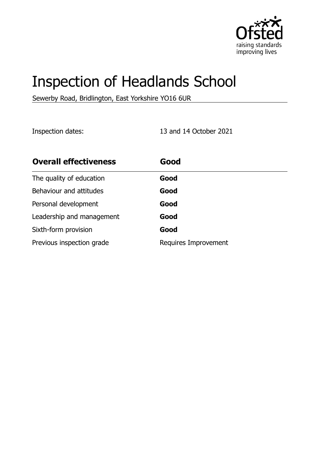

# Inspection of Headlands School

Sewerby Road, Bridlington, East Yorkshire YO16 6UR

Inspection dates: 13 and 14 October 2021

| <b>Overall effectiveness</b> | Good                 |
|------------------------------|----------------------|
| The quality of education     | Good                 |
| Behaviour and attitudes      | Good                 |
| Personal development         | Good                 |
| Leadership and management    | Good                 |
| Sixth-form provision         | Good                 |
| Previous inspection grade    | Requires Improvement |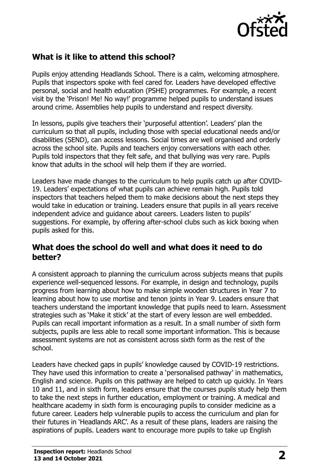

# **What is it like to attend this school?**

Pupils enjoy attending Headlands School. There is a calm, welcoming atmosphere. Pupils that inspectors spoke with feel cared for. Leaders have developed effective personal, social and health education (PSHE) programmes. For example, a recent visit by the 'Prison! Me! No way!' programme helped pupils to understand issues around crime. Assemblies help pupils to understand and respect diversity.

In lessons, pupils give teachers their 'purposeful attention'. Leaders' plan the curriculum so that all pupils, including those with special educational needs and/or disabilities (SEND), can access lessons. Social times are well organised and orderly across the school site. Pupils and teachers enjoy conversations with each other. Pupils told inspectors that they felt safe, and that bullying was very rare. Pupils know that adults in the school will help them if they are worried.

Leaders have made changes to the curriculum to help pupils catch up after COVID-19. Leaders' expectations of what pupils can achieve remain high. Pupils told inspectors that teachers helped them to make decisions about the next steps they would take in education or training. Leaders ensure that pupils in all years receive independent advice and guidance about careers. Leaders listen to pupils' suggestions. For example, by offering after-school clubs such as kick boxing when pupils asked for this.

#### **What does the school do well and what does it need to do better?**

A consistent approach to planning the curriculum across subjects means that pupils experience well-sequenced lessons. For example, in design and technology, pupils progress from learning about how to make simple wooden structures in Year 7 to learning about how to use mortise and tenon joints in Year 9. Leaders ensure that teachers understand the important knowledge that pupils need to learn. Assessment strategies such as 'Make it stick' at the start of every lesson are well embedded. Pupils can recall important information as a result. In a small number of sixth form subjects, pupils are less able to recall some important information. This is because assessment systems are not as consistent across sixth form as the rest of the school.

Leaders have checked gaps in pupils' knowledge caused by COVID-19 restrictions. They have used this information to create a 'personalised pathway' in mathematics, English and science. Pupils on this pathway are helped to catch up quickly. In Years 10 and 11, and in sixth form, leaders ensure that the courses pupils study help them to take the next steps in further education, employment or training. A medical and healthcare academy in sixth form is encouraging pupils to consider medicine as a future career. Leaders help vulnerable pupils to access the curriculum and plan for their futures in 'Headlands ARC'. As a result of these plans, leaders are raising the aspirations of pupils. Leaders want to encourage more pupils to take up English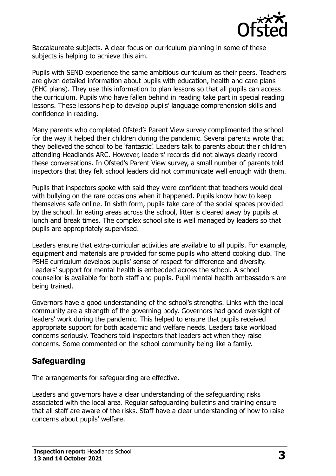

Baccalaureate subjects. A clear focus on curriculum planning in some of these subjects is helping to achieve this aim.

Pupils with SEND experience the same ambitious curriculum as their peers. Teachers are given detailed information about pupils with education, health and care plans (EHC plans). They use this information to plan lessons so that all pupils can access the curriculum. Pupils who have fallen behind in reading take part in special reading lessons. These lessons help to develop pupils' language comprehension skills and confidence in reading.

Many parents who completed Ofsted's Parent View survey complimented the school for the way it helped their children during the pandemic. Several parents wrote that they believed the school to be 'fantastic'. Leaders talk to parents about their children attending Headlands ARC. However, leaders' records did not always clearly record these conversations. In Ofsted's Parent View survey, a small number of parents told inspectors that they felt school leaders did not communicate well enough with them.

Pupils that inspectors spoke with said they were confident that teachers would deal with bullying on the rare occasions when it happened. Pupils know how to keep themselves safe online. In sixth form, pupils take care of the social spaces provided by the school. In eating areas across the school, litter is cleared away by pupils at lunch and break times. The complex school site is well managed by leaders so that pupils are appropriately supervised.

Leaders ensure that extra-curricular activities are available to all pupils. For example, equipment and materials are provided for some pupils who attend cooking club. The PSHE curriculum develops pupils' sense of respect for difference and diversity. Leaders' support for mental health is embedded across the school. A school counsellor is available for both staff and pupils. Pupil mental health ambassadors are being trained.

Governors have a good understanding of the school's strengths. Links with the local community are a strength of the governing body. Governors had good oversight of leaders' work during the pandemic. This helped to ensure that pupils received appropriate support for both academic and welfare needs. Leaders take workload concerns seriously. Teachers told inspectors that leaders act when they raise concerns. Some commented on the school community being like a family.

## **Safeguarding**

The arrangements for safeguarding are effective.

Leaders and governors have a clear understanding of the safeguarding risks associated with the local area. Regular safeguarding bulletins and training ensure that all staff are aware of the risks. Staff have a clear understanding of how to raise concerns about pupils' welfare.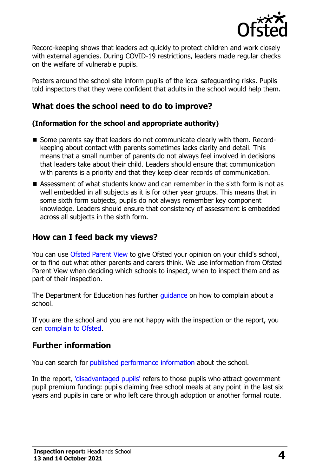

Record-keeping shows that leaders act quickly to protect children and work closely with external agencies. During COVID-19 restrictions, leaders made regular checks on the welfare of vulnerable pupils.

Posters around the school site inform pupils of the local safeguarding risks. Pupils told inspectors that they were confident that adults in the school would help them.

# **What does the school need to do to improve?**

#### **(Information for the school and appropriate authority)**

- Some parents say that leaders do not communicate clearly with them. Recordkeeping about contact with parents sometimes lacks clarity and detail. This means that a small number of parents do not always feel involved in decisions that leaders take about their child. Leaders should ensure that communication with parents is a priority and that they keep clear records of communication.
- Assessment of what students know and can remember in the sixth form is not as well embedded in all subjects as it is for other year groups. This means that in some sixth form subjects, pupils do not always remember key component knowledge. Leaders should ensure that consistency of assessment is embedded across all subjects in the sixth form.

## **How can I feed back my views?**

You can use [Ofsted Parent View](http://parentview.ofsted.gov.uk/) to give Ofsted your opinion on your child's school, or to find out what other parents and carers think. We use information from Ofsted Parent View when deciding which schools to inspect, when to inspect them and as part of their inspection.

The Department for Education has further quidance on how to complain about a school.

If you are the school and you are not happy with the inspection or the report, you can [complain to Ofsted.](http://www.gov.uk/complain-ofsted-report)

#### **Further information**

You can search for [published performance information](http://www.compare-school-performance.service.gov.uk/) about the school.

In the report, ['disadvantaged pupils'](http://www.gov.uk/guidance/pupil-premium-information-for-schools-and-alternative-provision-settings) refers to those pupils who attract government pupil premium funding: pupils claiming free school meals at any point in the last six years and pupils in care or who left care through adoption or another formal route.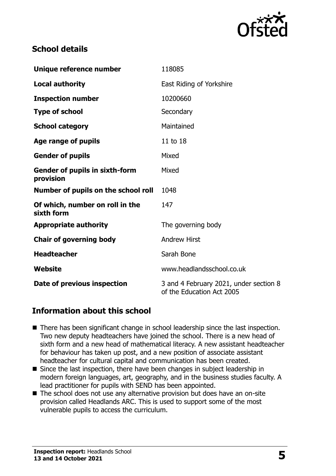

### **School details**

| Unique reference number                            | 118085                                                              |  |
|----------------------------------------------------|---------------------------------------------------------------------|--|
| <b>Local authority</b>                             | East Riding of Yorkshire                                            |  |
| <b>Inspection number</b>                           | 10200660                                                            |  |
| <b>Type of school</b>                              | Secondary                                                           |  |
| <b>School category</b>                             | Maintained                                                          |  |
| Age range of pupils                                | 11 to 18                                                            |  |
| <b>Gender of pupils</b>                            | Mixed                                                               |  |
| <b>Gender of pupils in sixth-form</b><br>provision | Mixed                                                               |  |
| Number of pupils on the school roll                | 1048                                                                |  |
| Of which, number on roll in the<br>sixth form      | 147                                                                 |  |
| <b>Appropriate authority</b>                       | The governing body                                                  |  |
| <b>Chair of governing body</b>                     | <b>Andrew Hirst</b>                                                 |  |
| <b>Headteacher</b>                                 | Sarah Bone                                                          |  |
| Website                                            | www.headlandsschool.co.uk                                           |  |
| Date of previous inspection                        | 3 and 4 February 2021, under section 8<br>of the Education Act 2005 |  |

## **Information about this school**

- There has been significant change in school leadership since the last inspection. Two new deputy headteachers have joined the school. There is a new head of sixth form and a new head of mathematical literacy. A new assistant headteacher for behaviour has taken up post, and a new position of associate assistant headteacher for cultural capital and communication has been created.
- Since the last inspection, there have been changes in subject leadership in modern foreign languages, art, geography, and in the business studies faculty. A lead practitioner for pupils with SEND has been appointed.
- $\blacksquare$  The school does not use any alternative provision but does have an on-site provision called Headlands ARC. This is used to support some of the most vulnerable pupils to access the curriculum.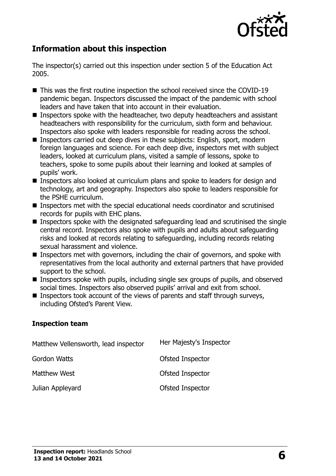

# **Information about this inspection**

The inspector(s) carried out this inspection under section 5 of the Education Act 2005.

- This was the first routine inspection the school received since the COVID-19 pandemic began. Inspectors discussed the impact of the pandemic with school leaders and have taken that into account in their evaluation.
- Inspectors spoke with the headteacher, two deputy headteachers and assistant headteachers with responsibility for the curriculum, sixth form and behaviour. Inspectors also spoke with leaders responsible for reading across the school.
- Inspectors carried out deep dives in these subjects: English, sport, modern foreign languages and science. For each deep dive, inspectors met with subject leaders, looked at curriculum plans, visited a sample of lessons, spoke to teachers, spoke to some pupils about their learning and looked at samples of pupils' work.
- Inspectors also looked at curriculum plans and spoke to leaders for design and technology, art and geography. Inspectors also spoke to leaders responsible for the PSHE curriculum.
- Inspectors met with the special educational needs coordinator and scrutinised records for pupils with EHC plans.
- **Inspectors spoke with the designated safeguarding lead and scrutinised the single** central record. Inspectors also spoke with pupils and adults about safeguarding risks and looked at records relating to safeguarding, including records relating sexual harassment and violence.
- Inspectors met with governors, including the chair of governors, and spoke with representatives from the local authority and external partners that have provided support to the school.
- Inspectors spoke with pupils, including single sex groups of pupils, and observed social times. Inspectors also observed pupils' arrival and exit from school.
- **Inspectors took account of the views of parents and staff through surveys,** including Ofsted's Parent View.

#### **Inspection team**

| Matthew Vellensworth, lead inspector | Her Majesty's Inspector |
|--------------------------------------|-------------------------|
| Gordon Watts                         | Ofsted Inspector        |
| Matthew West                         | Ofsted Inspector        |
| Julian Appleyard                     | Ofsted Inspector        |